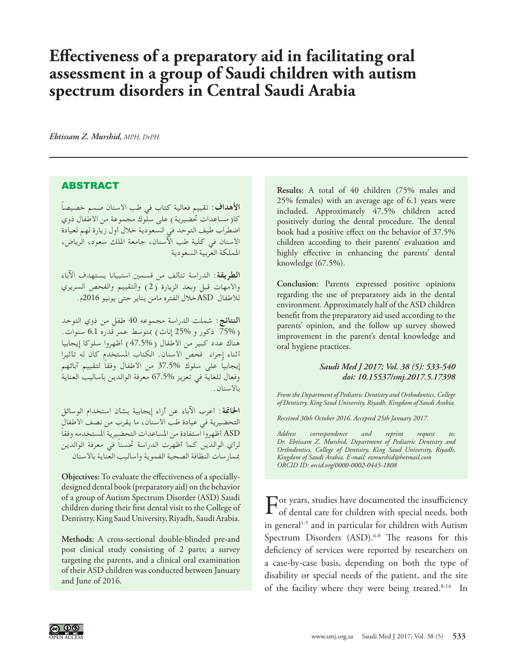## **Effectiveness of a preparatory aid in facilitating oral assessment in a group of Saudi children with autism spectrum disorders in Central Saudi Arabia**

*Ebtissam Z. Murshid, MPH, DrPH.*

## ABSTRACT

**األهداف:** ً تقييم فعالية كتاب في طب األسنان صمم خصيصا كا( مساعدات تحضيرية ) على سلّوك مجموعة من الأطفال ذوي اضطراب طيف التوحد في السعودية خالل أول زيارة لهم لعيادة األسنان في كلية طب اآلسنان، جامعة امللك سعود، الرياض، اململكة العربية السعودية

**الطريقة:** الدراسة تتألف من قسمني استبيانا يستهدف اآلباء واألمهات قبل وبعد الزيارة )2( والتقييم والفحص السريري لألطفال ASDخالل الفتره مامن يناير حتى يونيو 2016م.

**النتائج:** شملت الدراسة مجموعه 40 طفل من ذوي التوحد ( 75% ذكور و 25% إناث) بمتوسط عمر قدره 6.1 سنوات. هناك عدد كبير من الأطفال ( 47.5% ) أظهروا سلوكا إيجابيا أثناء إجراء فحص األسنان. الكتاب املستخدم كان له تأثيرا ً إيجابيا على سلوك 37.5% ً من األطفال وفقا لتقييم آبائهم وفعال للغاية في تعزيز 67.5% معرفة الوالدين بأساليب العناية بالأسنان.

**اخلامتة:** أعرب اآلباء عن آراء إيجابية بشأن استخدام الوسائل التحضيرية في عيادة طب الأسنان، ما يقرب من نصف الأطفال ASD ً أظهروا استفادة من املساعدات التحضيرية املستخدمه وفقا ً لرأي الوالدين كما أظهرت الدراسة حتسنا في معرفة الوالدين مبمارسات النظافة الصحية الفموية وأساليب العناية باألسنان

**Objectives:** To evaluate the effectiveness of a speciallydesigned dental book (preparatory aid) on the behavior of a group of Autism Spectrum Disorder (ASD) Saudi children during their first dental visit to the College of Dentistry, King Saud University, Riyadh, Saudi Arabia.

**Methods:** A cross-sectional double-blinded pre-and post clinical study consisting of 2 parts; a survey targeting the parents, and a clinical oral examination of their ASD children was conducted between January and June of 2016.

**Results**: A total of 40 children (75% males and 25% females) with an average age of 6.1 years were included. Approximately 47.5% children acted positively during the dental procedure. The dental book had a positive effect on the behavior of 37.5% children according to their parents' evaluation and highly effective in enhancing the parents' dental knowledge (67.5%).

**Conclusion**: Parents expressed positive opinions regarding the use of preparatory aids in the dental environment. Approximately half of the ASD children benefit from the preparatory aid used according to the parents' opinion, and the follow up survey showed improvement in the parent's dental knowledge and oral hygiene practices.

## *Saudi Med J 2017; Vol. 38 (5): 533-540 doi: 10.15537/smj.2017.5.17398*

*From the Department of Pediatric Dentistry and Orthodontics, College of Dentistry, King Saud University, Riyadh, Kingdom of Saudi Arabia.*

*Received 30th October 2016. Accepted 25th January 2017.*

*Address correspondence and reprint request to: Dr. Ebtissam Z. Murshid, Department of Pediatric Dentistry and Orthodontics, College of Dentistry, King Saud University, Riyadh, Kingdom of Saudi Arabia. E-mail: ezmurshid@hotmail.com [ORCID ID: orcid.org/0000-0002-0445-1808](http://orcid.org/0000-0002-0445-1808)*

 $\Gamma_{\rm of\,dentel\,core}^{\rm or\,years,\,studies\,have\, documented\,the\,insufficiently.}$ of dental care for children with special needs, both in general<sup>[1-](#page-6-0)[5](#page-6-1)</sup> and in particular for children with Autism Spectrum Disorders (ASD).<sup>[6](#page-6-2)[-8](#page-6-3)</sup> The reasons for this deficiency of services were reported by researchers on a case-by-case basis, depending on both the type of disability or special needs of the patient, and the site of the facility where they were being treated.<sup>[8-](#page-6-3)[14](#page-6-4)</sup> In

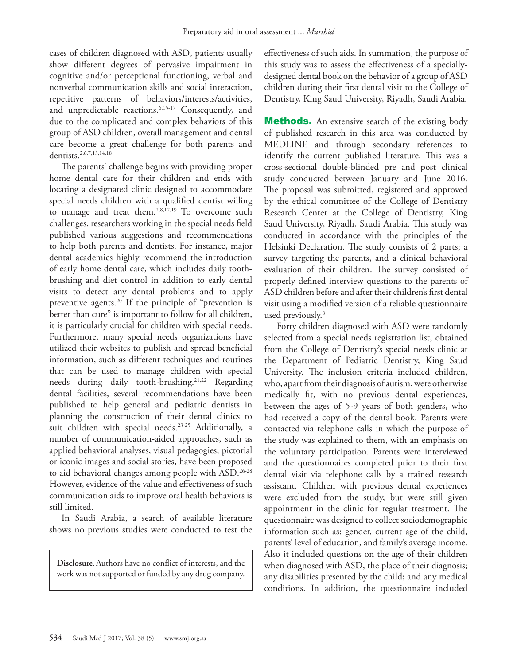cases of children diagnosed with ASD, patients usually show different degrees of pervasive impairment in cognitive and/or perceptional functioning, verbal and nonverbal communication skills and social interaction, repetitive patterns of behaviors/interests/activities, and unpredictable reactions.[6,](#page-6-2)[15-](#page-6-5)[17](#page-6-6) Consequently, and due to the complicated and complex behaviors of this group of ASD children, overall management and dental care become a great challenge for both parents and dentists.[2](#page-6-7),[6](#page-6-2)[,7,](#page-6-8)[13](#page-6-9)[,14](#page-6-4)[,18](#page-6-10) 

The parents' challenge begins with providing proper home dental care for their children and ends with locating a designated clinic designed to accommodate special needs children with a qualified dentist willing to manage and treat them.<sup>[2](#page-6-7)[,8,](#page-6-3)[12,](#page-6-11)19</sup> To overcome such challenges, researchers working in the special needs field published various suggestions and recommendations to help both parents and dentists. For instance, major dental academics highly recommend the introduction of early home dental care, which includes daily toothbrushing and diet control in addition to early dental visits to detect any dental problems and to apply preventive agents[.20](#page-6-13) If the principle of "prevention is better than cure" is important to follow for all children, it is particularly crucial for children with special needs. Furthermore, many special needs organizations have utilized their websites to publish and spread beneficial information, such as different techniques and routines that can be used to manage children with special needs during daily tooth-brushing.<sup>[21](#page-6-14),[22](#page-6-15)</sup> Regarding dental facilities, several recommendations have been published to help general and pediatric dentists in planning the construction of their dental clinics to suit children with special needs.<sup>[23-](#page-7-0)[25](#page-7-1)</sup> Additionally, a number of communication-aided approaches, such as applied behavioral analyses, visual pedagogies, pictorial or iconic images and social stories, have been proposed to aid behavioral changes among people with ASD.[26](#page-7-2)[-28](#page-7-3) However, evidence of the value and effectiveness of such communication aids to improve oral health behaviors is still limited.

In Saudi Arabia, a search of available literature shows no previous studies were conducted to test the

**Disclosure**. Authors have no conflict of interests, and the work was not supported or funded by any drug company.

effectiveness of such aids. In summation, the purpose of this study was to assess the effectiveness of a speciallydesigned dental book on the behavior of a group of ASD children during their first dental visit to the College of Dentistry, King Saud University, Riyadh, Saudi Arabia.

**Methods.** An extensive search of the existing body of published research in this area was conducted by MEDLINE and through secondary references to identify the current published literature. This was a cross-sectional double-blinded pre and post clinical study conducted between January and June 2016. The proposal was submitted, registered and approved by the ethical committee of the College of Dentistry Research Center at the College of Dentistry, King Saud University, Riyadh, Saudi Arabia. This study was conducted in accordance with the principles of the Helsinki Declaration. The study consists of 2 parts; a survey targeting the parents, and a clinical behavioral evaluation of their children. The survey consisted of properly defined interview questions to the parents of ASD children before and after their children's first dental visit using a modified version of a reliable questionnaire used previously[.8](#page-6-3)

Forty children diagnosed with ASD were randomly selected from a special needs registration list, obtained from the College of Dentistry's special needs clinic at the Department of Pediatric Dentistry, King Saud University. The inclusion criteria included children, who, apart from their diagnosis of autism, were otherwise medically fit, with no previous dental experiences, between the ages of 5-9 years of both genders, who had received a copy of the dental book. Parents were contacted via telephone calls in which the purpose of the study was explained to them, with an emphasis on the voluntary participation. Parents were interviewed and the questionnaires completed prior to their first dental visit via telephone calls by a trained research assistant. Children with previous dental experiences were excluded from the study, but were still given appointment in the clinic for regular treatment. The questionnaire was designed to collect sociodemographic information such as: gender, current age of the child, parents' level of education, and family's average income. Also it included questions on the age of their children when diagnosed with ASD, the place of their diagnosis; any disabilities presented by the child; and any medical conditions. In addition, the questionnaire included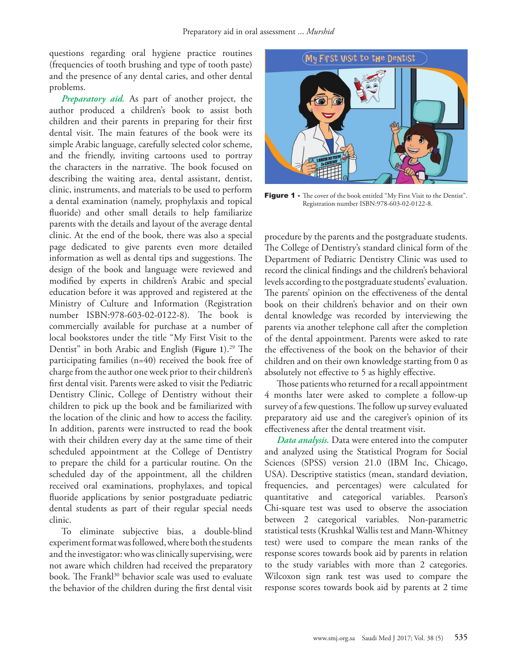questions regarding oral hygiene practice routines (frequencies of tooth brushing and type of tooth paste) and the presence of any dental caries, and other dental problems.

*Preparatory aid.* As part of another project, the author produced a children's book to assist both children and their parents in preparing for their first dental visit. The main features of the book were its simple Arabic language, carefully selected color scheme, and the friendly, inviting cartoons used to portray the characters in the narrative. The book focused on describing the waiting area, dental assistant, dentist, clinic, instruments, and materials to be used to perform a dental examination (namely, prophylaxis and topical fluoride) and other small details to help familiarize parents with the details and layout of the average dental clinic. At the end of the book, there was also a special page dedicated to give parents even more detailed information as well as dental tips and suggestions. The design of the book and language were reviewed and modified by experts in children's Arabic and special education before it was approved and registered at the Ministry of Culture and Information (Registration number ISBN:978-603-02-0122-8). The book is commercially available for purchase at a number of local bookstores under the title "My First Visit to the Dentist" in both Arabic and English (Figure 1).<sup>29</sup> The participating families (n=40) received the book free of charge from the author one week prior to their children's first dental visit. Parents were asked to visit the Pediatric Dentistry Clinic, College of Dentistry without their children to pick up the book and be familiarized with the location of the clinic and how to access the facility. In addition, parents were instructed to read the book with their children every day at the same time of their scheduled appointment at the College of Dentistry to prepare the child for a particular routine. On the scheduled day of the appointment, all the children received oral examinations, prophylaxes, and topical fluoride applications by senior postgraduate pediatric dental students as part of their regular special needs clinic.

To eliminate subjective bias, a double-blind experiment format was followed, where both the students and the investigator: who was clinically supervising, were not aware which children had received the preparatory book. The Frankl<sup>30</sup> behavior scale was used to evaluate the behavior of the children during the first dental visit



Figure 1 - The cover of the book entitled "My First Visit to the Dentist". Registration number ISBN:978-603-02-0122-8.

procedure by the parents and the postgraduate students. The College of Dentistry's standard clinical form of the Department of Pediatric Dentistry Clinic was used to record the clinical findings and the children's behavioral levels according to the postgraduate students' evaluation. The parents' opinion on the effectiveness of the dental book on their children's behavior and on their own dental knowledge was recorded by interviewing the parents via another telephone call after the completion of the dental appointment. Parents were asked to rate the effectiveness of the book on the behavior of their children and on their own knowledge starting from 0 as absolutely not effective to 5 as highly effective.

Those patients who returned for a recall appointment 4 months later were asked to complete a follow-up survey of a few questions. The follow up survey evaluated preparatory aid use and the caregiver's opinion of its effectiveness after the dental treatment visit.

*Data analysis.* Data were entered into the computer and analyzed using the Statistical Program for Social Sciences (SPSS) version 21.0 (IBM Inc, Chicago, USA). Descriptive statistics (mean, standard deviation, frequencies, and percentages) were calculated for quantitative and categorical variables. Pearson's Chi-square test was used to observe the association between 2 categorical variables. Non-parametric statistical tests (Krushkal Wallis test and Mann-Whitney test) were used to compare the mean ranks of the response scores towards book aid by parents in relation to the study variables with more than 2 categories. Wilcoxon sign rank test was used to compare the response scores towards book aid by parents at 2 time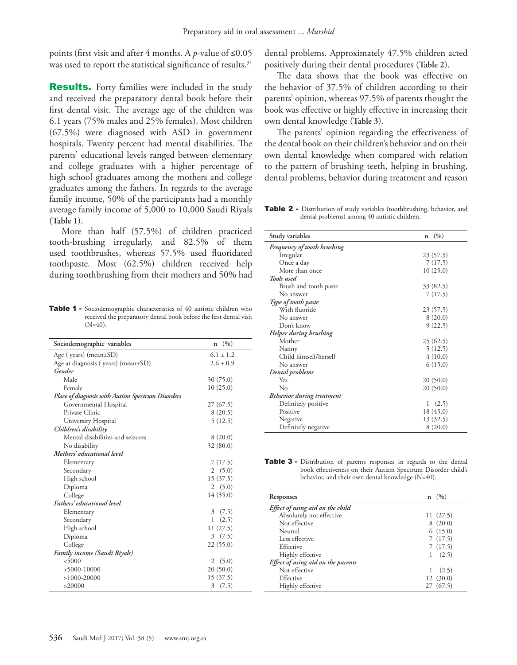points (first visit and after 4 months. A *p*-value of ≤0.05 was used to report the statistical significance of results.<sup>31</sup>

**Results.** Forty families were included in the study and received the preparatory dental book before their first dental visit. The average age of the children was 6.1 years (75% males and 25% females). Most children (67.5%) were diagnosed with ASD in government hospitals. Twenty percent had mental disabilities. The parents' educational levels ranged between elementary and college graduates with a higher percentage of high school graduates among the mothers and college graduates among the fathers. In regards to the average family income, 50% of the participants had a monthly average family income of 5,000 to 10,000 Saudi Riyals (**Table 1**).

More than half (57.5%) of children practiced tooth-brushing irregularly, and 82.5% of them used toothbrushes, whereas 57.5% used fluoridated toothpaste. Most (62.5%) children received help during toothbrushing from their mothers and 50% had

Table 1 - Sociodemographic characteristics of 40 autistic children who received the preparatory dental book before the first dental visit  $(N=40)$ .

| Sociodemographic variables                        | (9/0)<br>$\mathbf n$    |
|---------------------------------------------------|-------------------------|
| Age (years) (mean $\pm$ SD)                       | $6.1 + 1.2$             |
| Age at diagnosis (years) (mean $\pm$ SD)          | $2.6 + 0.9$             |
| Gender                                            |                         |
| Male                                              | 30 (75.0)               |
| Female                                            | 10(25.0)                |
| Place of diagnosis with Autism Spectrum Disorders |                         |
| Governmental Hospital                             | 27(67.5)                |
| Private Clinic                                    | 8(20.5)                 |
| University Hospital                               | 5(12.5)                 |
| Children's disability                             |                         |
| Mental disabilities and seizures                  | 8(20.0)                 |
| No disability                                     | 32(80.0)                |
| Mothers' educational level                        |                         |
| Elementary                                        | 7(17.5)                 |
| Secondary                                         | 2(5.0)                  |
| High school                                       | 15(37.5)                |
| Diploma                                           | 2(5.0)                  |
| College                                           | 14(35.0)                |
| Fathers' educational level                        |                         |
| Elementary                                        | $\overline{3}$<br>(7.5) |
| Secondary                                         | (2.5)<br>1.             |
| High school                                       | 11(27.5)                |
| Diploma                                           | (7.5)<br>3              |
| College                                           | 22(55.0)                |
| Family income (Saudi Riyals)                      |                         |
| < 5000                                            | 2(5.0)                  |
| $>5000-10000$                                     | 20(50.0)                |
| $>1000-20000$                                     | 15(37.5)                |
| >20000                                            | (7.5)<br>3              |

dental problems. Approximately 47.5% children acted positively during their dental procedures (**Table 2**).

The data shows that the book was effective on the behavior of 37.5% of children according to their parents' opinion, whereas 97.5% of parents thought the book was effective or highly effective in increasing their own dental knowledge (**Table 3**).

The parents' opinion regarding the effectiveness of the dental book on their children's behavior and on their own dental knowledge when compared with relation to the pattern of brushing teeth, helping in brushing, dental problems, behavior during treatment and reason

Table 2 - Distribution of study variables (toothbrushing, behavior, and dental problems) among 40 autistic children.

| Study variables                    | (9/0)<br>$\mathbf n$ |
|------------------------------------|----------------------|
| <b>Frequency of tooth brushing</b> |                      |
| Irregular                          | 23(57.5)             |
| Once a day                         | 7(17.5)              |
| More than once                     | 10(25.0)             |
| Tools used                         |                      |
| Brush and tooth paste              | 33 (82.5)            |
| No answer                          | 7(17.5)              |
| Type of tooth paste                |                      |
| With fluoride                      | 23(57.5)             |
| No answer                          | 8(20.0)              |
| Don't know                         | 9(22.5)              |
| Helper during brushing             |                      |
| Mother                             | 25(62.5)             |
| Nanny                              | 5(12.5)              |
| Child himself/herself              | 4(10.0)              |
| No answer                          | 6(15.0)              |
| Dental problems                    |                      |
| Yes                                | 20(50.0)             |
| No                                 | 20(50.0)             |
| Behavior during treatment          |                      |
| Definitely positive                | (2.5)<br>1           |
| Positive                           | 18 (45.0)            |
| Negative                           | 13 (32.5)            |
| Definitely negative                | 8(20.0)              |

| <b>Table 3</b> - Distribution of parents responses in regards to the dental |
|-----------------------------------------------------------------------------|
| book effectiveness on their Autism Spectrum Disorder child's                |
| behavior, and their own dental knowledge $(N=40)$ .                         |

| Responses                          | n  | (9/0)    |
|------------------------------------|----|----------|
| Effect of using aid on the child   |    |          |
| Absolutely not effective           |    | 11(27.5) |
| Not effective                      |    | 8(20.0)  |
| Neutral                            |    | 6(15.0)  |
| Less effective                     |    | 7(17.5)  |
| Effective                          |    | 7(17.5)  |
| Highly effective                   | 1. | (2.5)    |
| Effect of using aid on the parents |    |          |
| Not effective                      |    | (2.5)    |
| Effective                          |    | 12(30.0) |
| Highly effective                   |    | (67.5)   |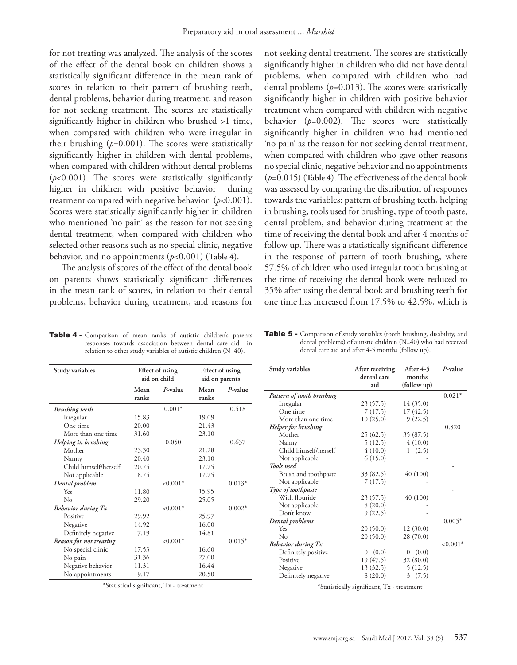for not treating was analyzed. The analysis of the scores of the effect of the dental book on children shows a statistically significant difference in the mean rank of scores in relation to their pattern of brushing teeth, dental problems, behavior during treatment, and reason for not seeking treatment. The scores are statistically significantly higher in children who brushed  $\geq 1$  time, when compared with children who were irregular in their brushing  $(p=0.001)$ . The scores were statistically significantly higher in children with dental problems, when compared with children without dental problems  $(p<0.001)$ . The scores were statistically significantly higher in children with positive behavior during treatment compared with negative behavior (*p*<0.001). Scores were statistically significantly higher in children who mentioned 'no pain' as the reason for not seeking dental treatment, when compared with children who selected other reasons such as no special clinic, negative behavior, and no appointments (*p*<0.001) (**Table 4)**.

The analysis of scores of the effect of the dental book on parents shows statistically significant differences in the mean rank of scores, in relation to their dental problems, behavior during treatment, and reasons for not seeking dental treatment. The scores are statistically significantly higher in children who did not have dental problems, when compared with children who had dental problems (*p*=0.013). The scores were statistically significantly higher in children with positive behavior treatment when compared with children with negative behavior (*p*=0.002). The scores were statistically significantly higher in children who had mentioned 'no pain' as the reason for not seeking dental treatment, when compared with children who gave other reasons no special clinic, negative behavior and no appointments (*p*=0.015) (**Table 4**). The effectiveness of the dental book was assessed by comparing the distribution of responses towards the variables: pattern of brushing teeth, helping in brushing, tools used for brushing, type of tooth paste, dental problem, and behavior during treatment at the time of receiving the dental book and after 4 months of follow up. There was a statistically significant difference in the response of pattern of tooth brushing, where 57.5% of children who used irregular tooth brushing at the time of receiving the dental book were reduced to 35% after using the dental book and brushing teeth for one time has increased from 17.5% to 42.5%, which is

Table 4 - Comparison of mean ranks of autistic children's parents responses towards association between dental care aid in relation to other study variables of autistic children (N=40).

| <b>Table 5 -</b> Comparison of study variables (tooth brushing, disability, and |
|---------------------------------------------------------------------------------|
| dental problems) of autistic children $(N=40)$ who had received                 |
| dental care aid and after 4-5 months (follow up).                               |

| Study variables                          | Effect of using<br>aid on child |             | Effect of using<br>aid on parents |            |
|------------------------------------------|---------------------------------|-------------|-----------------------------------|------------|
|                                          | Mean<br>ranks                   | P-value     | Mean<br>ranks                     | $P$ -value |
| <b>Brushing</b> teeth                    |                                 | $0.001*$    |                                   | 0.518      |
| Irregular                                | 15.83                           |             | 19.09                             |            |
| One time                                 | 20.00                           |             | 21.43                             |            |
| More than one time                       | 31.60                           |             | 23.10                             |            |
| Helping in brushing                      |                                 | 0.050       |                                   | 0.637      |
| Mother                                   | 23.30                           |             | 21.28                             |            |
| Nanny                                    | 20.40                           |             | 23.10                             |            |
| Child himself/herself                    | 20.75                           |             | 17.25                             |            |
| Not applicable                           | 8.75                            |             | 17.25                             |            |
| Dental problem                           |                                 | $< 0.001*$  |                                   | $0.013*$   |
| Yes                                      | 11.80                           |             | 15.95                             |            |
| $\rm No$                                 | 29.20                           |             | 25.05                             |            |
| <b>Behavior during Tx</b>                |                                 | $< 0.001*$  |                                   | $0.002*$   |
| Positive                                 | 29.92                           |             | 25.97                             |            |
| Negative                                 | 14.92                           |             | 16.00                             |            |
| Definitely negative                      | 7.19                            |             | 14.81                             |            |
| Reason for not treating                  |                                 | ${<}0.001*$ |                                   | $0.015*$   |
| No special clinic                        | 17.53                           |             | 16.60                             |            |
| No pain                                  | 31.36                           |             | 27.00                             |            |
| Negative behavior                        | 11.31                           |             | 16.44                             |            |
| No appointments                          | 9.17                            |             | 20.50                             |            |
| *Statistical significant, Tx - treatment |                                 |             |                                   |            |

| Study variables           | After receiving<br>dental care<br>aid      | After 4-5<br>months<br>(follow up) | P-value     |
|---------------------------|--------------------------------------------|------------------------------------|-------------|
| Pattern of tooth brushing |                                            |                                    | $0.021*$    |
| Irregular                 | 23(57.5)                                   | 14(35.0)                           |             |
| One time                  | 7(17.5)                                    | 17(42.5)                           |             |
| More than one time        | 10(25.0)                                   | 9(22.5)                            |             |
| Helper for brushing       |                                            |                                    | 0.820       |
| Mother                    | 25(62.5)                                   | 35 (87.5)                          |             |
| Nanny                     | 5(12.5)                                    | 4(10.0)                            |             |
| Child himself/herself     | 4(10.0)                                    | 1(2.5)                             |             |
| Not applicable            | 6(15.0)                                    |                                    |             |
| Tools used                |                                            |                                    |             |
| Brush and toothpaste      | 33 (82.5)                                  | 40 (100)                           |             |
| Not applicable            | 7(17.5)                                    |                                    |             |
| Type of toothpaste        |                                            |                                    |             |
| With flouride             | 23(57.5)                                   | 40 (100)                           |             |
| Not applicable            | 8(20.0)                                    |                                    |             |
| Don't know                | 9(22.5)                                    |                                    |             |
| Dental problems           |                                            |                                    | $0.005*$    |
| Yes                       | 20(50.0)                                   | 12(30.0)                           |             |
| No                        | 20(50.0)                                   | 28 (70.0)                          |             |
| <b>Behavior during Tx</b> |                                            |                                    | ${<}0.001*$ |
| Definitely positive       | (0.0)<br>$\mathbf{0}$                      | (0.0)<br>$\sigma$                  |             |
| Positive                  | 19(47.5)                                   | 32(80.0)                           |             |
| Negative                  | 13 (32.5)                                  | 5(12.5)                            |             |
| Definitely negative       | 8(20.0)                                    | (7.5)<br>3                         |             |
|                           | *Statistically significant, Tx - treatment |                                    |             |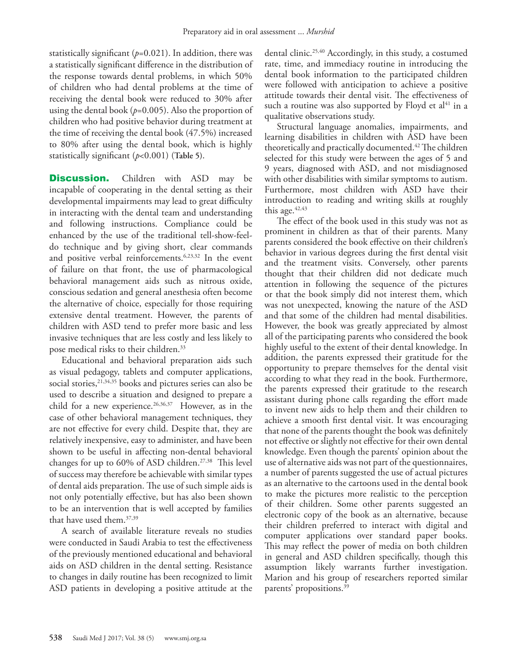statistically significant  $(p=0.021)$ . In addition, there was a statistically significant difference in the distribution of the response towards dental problems, in which 50% of children who had dental problems at the time of receiving the dental book were reduced to 30% after using the dental book  $(p=0.005)$ . Also the proportion of children who had positive behavior during treatment at the time of receiving the dental book (47.5%) increased to 80% after using the dental book, which is highly statistically significant (*p*<0.001) (**Table 5)**.

**Discussion.** Children with ASD may be incapable of cooperating in the dental setting as their developmental impairments may lead to great difficulty in interacting with the dental team and understanding and following instructions. Compliance could be enhanced by the use of the traditional tell-show-feeldo technique and by giving short, clear commands and positive verbal reinforcements[.6,](#page-6-2)[23](#page-7-0),[32](#page-7-6) In the event of failure on that front, the use of pharmacological behavioral management aids such as nitrous oxide, conscious sedation and general anesthesia often become the alternative of choice, especially for those requiring extensive dental treatment. However, the parents of children with ASD tend to prefer more basic and less invasive techniques that are less costly and less likely to pose medical risks to their children[.33](#page-7-7) 

Educational and behavioral preparation aids such as visual pedagogy, tablets and computer applications, social stories, <sup>21,[34,](#page-7-8)35</sup> books and pictures series can also be used to describe a situation and designed to prepare a child for a new experience.<sup>26[,36](#page-7-10),37</sup> However, as in the case of other behavioral management techniques, they are not effective for every child. Despite that, they are relatively inexpensive, easy to administer, and have been shown to be useful in affecting non-dental behavioral changes for up to 60% of ASD children.<sup>27,38</sup> This level of success may therefore be achievable with similar types of dental aids preparation. The use of such simple aids is not only potentially effective, but has also been shown to be an intervention that is well accepted by families that have used them.[37](#page-7-11),[39](#page-7-14)

A search of available literature reveals no studies were conducted in Saudi Arabia to test the effectiveness of the previously mentioned educational and behavioral aids on ASD children in the dental setting. Resistance to changes in daily routine has been recognized to limit ASD patients in developing a positive attitude at the dental clinic.[25](#page-7-1),[40](#page-7-15) Accordingly, in this study, a costumed rate, time, and immediacy routine in introducing the dental book information to the participated children were followed with anticipation to achieve a positive attitude towards their dental visit. The effectiveness of such a routine was also supported by Floyd et  $al<sup>41</sup>$  in a qualitative observations study.

Structural language anomalies, impairments, and learning disabilities in children with ASD have been theoretically and practically documented.<sup>42</sup> The children selected for this study were between the ages of 5 and 9 years, diagnosed with ASD, and not misdiagnosed with other disabilities with similar symptoms to autism. Furthermore, most children with ASD have their introduction to reading and writing skills at roughly this age. $42,43$ 

The effect of the book used in this study was not as prominent in children as that of their parents. Many parents considered the book effective on their children's behavior in various degrees during the first dental visit and the treatment visits. Conversely, other parents thought that their children did not dedicate much attention in following the sequence of the pictures or that the book simply did not interest them, which was not unexpected, knowing the nature of the ASD and that some of the children had mental disabilities. However, the book was greatly appreciated by almost all of the participating parents who considered the book highly useful to the extent of their dental knowledge. In addition, the parents expressed their gratitude for the opportunity to prepare themselves for the dental visit according to what they read in the book. Furthermore, the parents expressed their gratitude to the research assistant during phone calls regarding the effort made to invent new aids to help them and their children to achieve a smooth first dental visit. It was encouraging that none of the parents thought the book was definitely not effective or slightly not effective for their own dental knowledge. Even though the parents' opinion about the use of alternative aids was not part of the questionnaires, a number of parents suggested the use of actual pictures as an alternative to the cartoons used in the dental book to make the pictures more realistic to the perception of their children. Some other parents suggested an electronic copy of the book as an alternative, because their children preferred to interact with digital and computer applications over standard paper books. This may reflect the power of media on both children in general and ASD children specifically, though this assumption likely warrants further investigation. Marion and his group of researchers reported similar parents' propositions.[39](#page-7-14)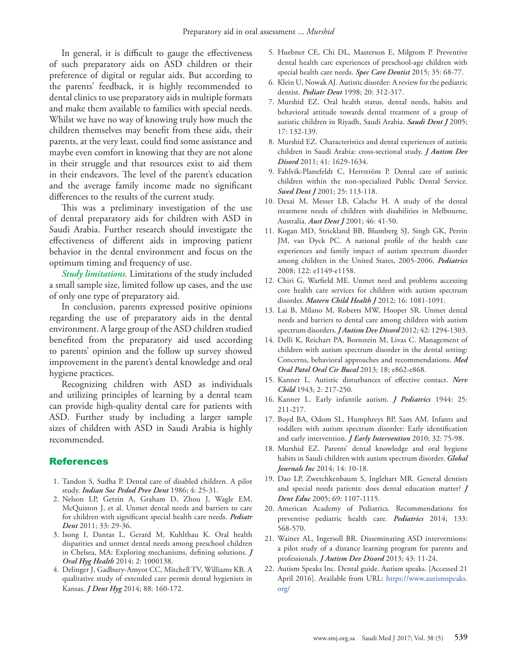In general, it is difficult to gauge the effectiveness of such preparatory aids on ASD children or their preference of digital or regular aids. But according to the parents' feedback, it is highly recommended to dental clinics to use preparatory aids in multiple formats and make them available to families with special needs. Whilst we have no way of knowing truly how much the children themselves may benefit from these aids, their parents, at the very least, could find some assistance and maybe even comfort in knowing that they are not alone in their struggle and that resources exist to aid them in their endeavors. The level of the parent's education and the average family income made no significant differences to the results of the current study.

This was a preliminary investigation of the use of dental preparatory aids for children with ASD in Saudi Arabia. Further research should investigate the effectiveness of different aids in improving patient behavior in the dental environment and focus on the optimum timing and frequency of use.

*Study limitations.* Limitations of the study included a small sample size, limited follow up cases, and the use of only one type of preparatory aid.

In conclusion, parents expressed positive opinions regarding the use of preparatory aids in the dental environment. A large group of the ASD children studied benefited from the preparatory aid used according to parents' opinion and the follow up survey showed improvement in the parent's dental knowledge and oral hygiene practices.

Recognizing children with ASD as individuals and utilizing principles of learning by a dental team can provide high-quality dental care for patients with ASD. Further study by including a larger sample sizes of children with ASD in Saudi Arabia is highly recommended.

## References

- <span id="page-6-0"></span> 1. [Tandon S, Sudha P. Dental care of disabled children. A pilot](https://www.ncbi.nlm.nih.gov/pubmed/2952773)  study. *[Indian Soc Pedod Prev Dent](https://www.ncbi.nlm.nih.gov/pubmed/2952773)* 1986; 4: 25-31.
- <span id="page-6-7"></span> 2. [Nelson LP, Getzin A, Graham D, Zhou J, Wagle EM,](https://www.ncbi.nlm.nih.gov/pubmed/21406145)  [McQuiston J, et al. Unmet dental needs and barriers to care](https://www.ncbi.nlm.nih.gov/pubmed/21406145)  [for children with significant special health care needs.](https://www.ncbi.nlm.nih.gov/pubmed/21406145) *Pediatr Dent* [2011; 33: 29-36.](https://www.ncbi.nlm.nih.gov/pubmed/21406145)
- 3. [Isong I, Dantas L, Gerard M, Kuhlthau K. Oral health](https://www.ncbi.nlm.nih.gov/pubmed/25614878)  [disparities and unmet dental needs among preschool children](https://www.ncbi.nlm.nih.gov/pubmed/25614878)  [in Chelsea, MA: Exploring mechanisms, defining solutions.](https://www.ncbi.nlm.nih.gov/pubmed/25614878) *J Oral Hyg Health* [2014; 2: 1000138.](https://www.ncbi.nlm.nih.gov/pubmed/25614878)
- 4. [Delinger J, Gadbury-Amyot CC, Mitchell TV, Williams KB. A](https://www.ncbi.nlm.nih.gov/pubmed/?term=Delinger+J%2C+Gadbury-Amyot+CC%2C+Mitchell+TV%2C+Williams+KB.+A+qualitative+study+of+extended+care+permit+dental+hygienists+in+Kansas.+J+Dent+Hyg+2014%3B+88(3)%3A160-72.)  [qualitative study of extended care permit dental hygienists in](https://www.ncbi.nlm.nih.gov/pubmed/?term=Delinger+J%2C+Gadbury-Amyot+CC%2C+Mitchell+TV%2C+Williams+KB.+A+qualitative+study+of+extended+care+permit+dental+hygienists+in+Kansas.+J+Dent+Hyg+2014%3B+88(3)%3A160-72.)  Kansas. *J Dent Hyg* [2014; 88: 160-172.](https://www.ncbi.nlm.nih.gov/pubmed/?term=Delinger+J%2C+Gadbury-Amyot+CC%2C+Mitchell+TV%2C+Williams+KB.+A+qualitative+study+of+extended+care+permit+dental+hygienists+in+Kansas.+J+Dent+Hyg+2014%3B+88(3)%3A160-72.)
- <span id="page-6-1"></span> 5. [Huebner CE, Chi DL, Masterson E, Milgrom P. Preventive](https://www.ncbi.nlm.nih.gov/pmc/articles/PMC4312543/) [dental health care experiences of preschool-age children with](https://www.ncbi.nlm.nih.gov/pmc/articles/PMC4312543/) [special health care needs.](https://www.ncbi.nlm.nih.gov/pmc/articles/PMC4312543/) *Spec Care Dentist* 2015; 35: 68-77.
- <span id="page-6-2"></span> 6. [Klein U, Nowak AJ. Autistic disorder: A review for the pediatric](https://www.ncbi.nlm.nih.gov/pubmed/9803429) dentist. *Pediatr Dent* [1998; 20: 312-317.](https://www.ncbi.nlm.nih.gov/pubmed/9803429)
- <span id="page-6-8"></span> 7. [Murshid EZ. Oral health status, dental needs, habits and](https://www.ncbi.nlm.nih.gov/pmc/articles/PMC4707405/) [behavioral attitude towards dental treatment of a group of](https://www.ncbi.nlm.nih.gov/pmc/articles/PMC4707405/) [autistic children in Riyadh, Saudi Arabia.](https://www.ncbi.nlm.nih.gov/pmc/articles/PMC4707405/) *Saudi Dent J* 2005; [17: 132-139.](https://www.ncbi.nlm.nih.gov/pmc/articles/PMC4707405/)
- <span id="page-6-3"></span> 8. [Murshid EZ. Characteristics and dental experiences of autistic](http://link.springer.com/article/10.1007/s10803-011-1188-y) [children in Saudi Arabia: cross-sectional study.](http://link.springer.com/article/10.1007/s10803-011-1188-y) *J Autism Dev Disord* [2011; 41: 1629-1634.](http://link.springer.com/article/10.1007/s10803-011-1188-y)
- 9. [Fahlvik-Planefeldt C, Herrström P. Dental care of autistic](https://www.researchgate.net/publication/11546918_Dental_care_of_autistic_children_within_the_non-specialized_Public_Dental_Service) [children within the non-specialized Public Dental Service.](https://www.researchgate.net/publication/11546918_Dental_care_of_autistic_children_within_the_non-specialized_Public_Dental_Service) *Swed Dent J* [2001; 25: 113-118.](https://www.researchgate.net/publication/11546918_Dental_care_of_autistic_children_within_the_non-specialized_Public_Dental_Service)
- 10. [Desai M, Messer LB, Calache H. A study of the dental](https://www.ncbi.nlm.nih.gov/pubmed/11355240) [treatment needs of children with disabilities in Melbourne,](https://www.ncbi.nlm.nih.gov/pubmed/11355240) Australia. *Aust Dent J* [2001; 46: 41-50.](https://www.ncbi.nlm.nih.gov/pubmed/11355240)
- 11. [Kogan MD, Strickland BB, Blumberg SJ, Singh GK, Perrin](https://www.ncbi.nlm.nih.gov/pubmed/19047216) [JM, van Dyck PC. A national profile of the health care](https://www.ncbi.nlm.nih.gov/pubmed/19047216) [experiences and family impact of autism spectrum disorder](https://www.ncbi.nlm.nih.gov/pubmed/19047216) [among children in the United States, 2005-2006.](https://www.ncbi.nlm.nih.gov/pubmed/19047216) *Pediatrics* [2008; 122: e1149-e1158.](https://www.ncbi.nlm.nih.gov/pubmed/19047216)
- <span id="page-6-11"></span>12. [Chiri G, Warfield ME. Unmet need and problems accessing](https://www.ncbi.nlm.nih.gov/pubmed/21667201) [core health care services for children with autism spectrum](https://www.ncbi.nlm.nih.gov/pubmed/21667201) disorder. *Matern Child Health J* [2012; 16: 1081-1091.](https://www.ncbi.nlm.nih.gov/pubmed/21667201)
- <span id="page-6-9"></span>13. [Lai B, Milano M, Roberts MW, Hooper SR. Unmet dental](https://www.ncbi.nlm.nih.gov/pubmed/21909827) [needs and barriers to dental care among children with autism](https://www.ncbi.nlm.nih.gov/pubmed/21909827) spectrum disorders. *J Autism Dev Disord* [2012; 42: 1294-1303.](https://www.ncbi.nlm.nih.gov/pubmed/21909827)
- <span id="page-6-4"></span>14. [Delli K, Reichart PA, Bornstein M, Livas C. Management of](https://www.ncbi.nlm.nih.gov/pubmed/23986012) [children with autism spectrum disorder in the dental setting:](https://www.ncbi.nlm.nih.gov/pubmed/23986012) [Concerns, behavioral approaches and recommendations.](https://www.ncbi.nlm.nih.gov/pubmed/23986012) *Med [Oral Patol Oral Cir Bucal](https://www.ncbi.nlm.nih.gov/pubmed/23986012)* 2013; 18; e862-e868.
- <span id="page-6-5"></span>15. [Kanner L. Autistic disturbances of effective contact.](https://simonsfoundation.s3.amazonaws.com/share/071207-leo-kanner-autistic-affective-contact.pdf) *Nerv Child* [1943; 2: 217-250.](https://simonsfoundation.s3.amazonaws.com/share/071207-leo-kanner-autistic-affective-contact.pdf)
- 16. Kanner L. Early infantile autism. *J Pediatrics* 1944: 25: 211-217.
- <span id="page-6-6"></span>17. [Boyd BA, Odom SL, Humphreys BP, Sam AM. Infants and](http://journals.sagepub.com/doi/abs/10.1177/1053815110362690) [toddlers with autism spectrum disorder: Early identification](http://journals.sagepub.com/doi/abs/10.1177/1053815110362690) [and early intervention.](http://journals.sagepub.com/doi/abs/10.1177/1053815110362690) *J Early Intervention* 2010; 32: 75-98.
- <span id="page-6-10"></span>18. [Murshid EZ. Parents' dental knowledge and oral hygiene](http://medicalresearchjournal.org/index.php/GJMR/article/view/685) [habits in Saudi children with autism spectrum disorder.](http://medicalresearchjournal.org/index.php/GJMR/article/view/685) *Global Journals Inc* [2014; 14: 10-18.](http://medicalresearchjournal.org/index.php/GJMR/article/view/685)
- <span id="page-6-12"></span>19. [Dao LP, Zwetchkenbaum S, Inglehart MR. General dentists](http://www.jdentaled.org/content/69/10/1107.short) [and special needs patients: does dental education matter?](http://www.jdentaled.org/content/69/10/1107.short) *J Dent Educ* [2005; 69: 1107-1115.](http://www.jdentaled.org/content/69/10/1107.short)
- <span id="page-6-13"></span>20. [American Academy of Pediatrics. Recommendations for](http://pediatrics.aappublications.org/content/ pediatrics/133/3/568.full.pdf) [preventive pediatric health care.](http://pediatrics.aappublications.org/content/ pediatrics/133/3/568.full.pdf) *Pediatrics* 2014; 133: [568-570.](http://pediatrics.aappublications.org/content/ pediatrics/133/3/568.full.pdf)
- <span id="page-6-14"></span>21. [Wainer AL, Ingersoll BR. Disseminating ASD interventions:](https://www.ncbi.nlm.nih.gov/pubmed/22547028) [a pilot study of a distance learning program for parents and](https://www.ncbi.nlm.nih.gov/pubmed/22547028) professionals. *[J Autism Dev Disord](https://www.ncbi.nlm.nih.gov/pubmed/22547028)* 2013; 43: 11-24.
- <span id="page-6-15"></span>22. [Autism Speaks Inc. Dental guide. Autism speaks. \[Accessed 21](https://www.autismspeaks.org/) [April 2016\]. Available from URL: https://www.autismspeaks.](https://www.autismspeaks.org/) [org/](https://www.autismspeaks.org/)